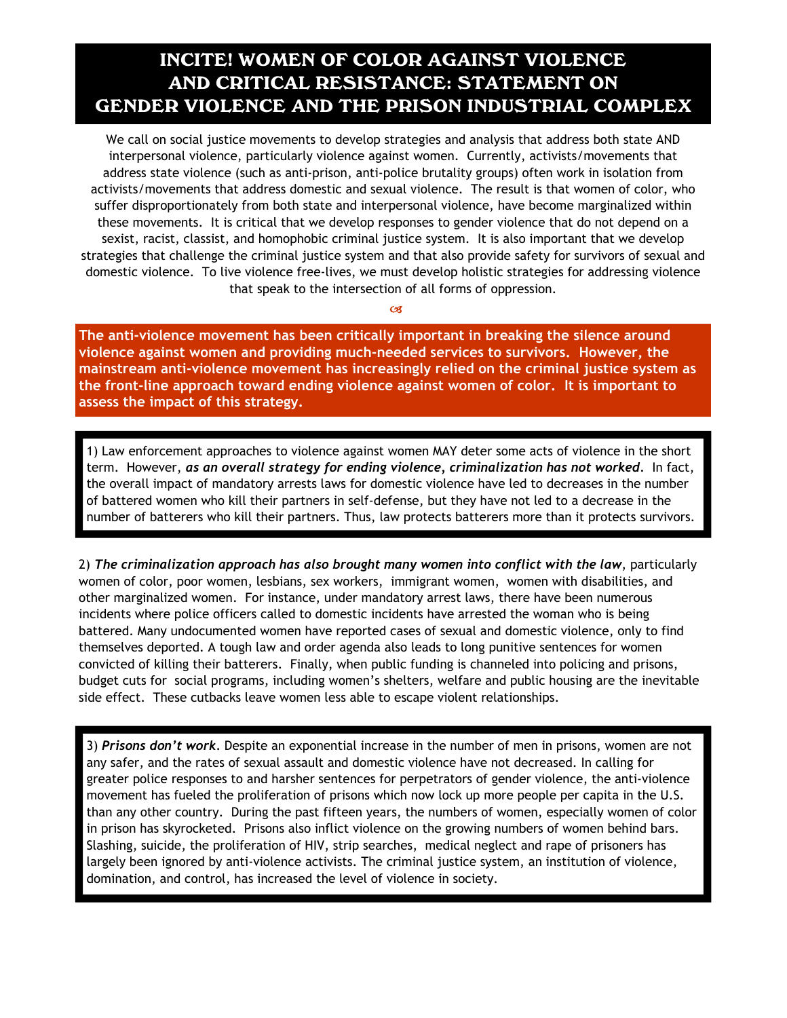## INCITE! WOMEN OF COLOR AGAINST VIOLENCE AND CRITICAL RESISTANCE: STATEMENT ON GENDER VIOLENCE AND THE PRISON INDUSTRIAL COMPLEX

We call on social justice movements to develop strategies and analysis that address both state AND interpersonal violence, particularly violence against women. Currently, activists/movements that address state violence (such as anti-prison, anti-police brutality groups) often work in isolation from activists/movements that address domestic and sexual violence. The result is that women of color, who suffer disproportionately from both state and interpersonal violence, have become marginalized within these movements. It is critical that we develop responses to gender violence that do not depend on a sexist, racist, classist, and homophobic criminal justice system. It is also important that we develop strategies that challenge the criminal justice system and that also provide safety for survivors of sexual and domestic violence. To live violence free-lives, we must develop holistic strategies for addressing violence that speak to the intersection of all forms of oppression.

W

**The anti-violence movement has been critically important in breaking the silence around violence against women and providing much-needed services to survivors. However, the mainstream anti-violence movement has increasingly relied on the criminal justice system as the front-line approach toward ending violence against women of color. It is important to assess the impact of this strategy.**

1) Law enforcement approaches to violence against women MAY deter some acts of violence in the short term. However, *as an overall strategy for ending violence, criminalization has not worked.* In fact, the overall impact of mandatory arrests laws for domestic violence have led to decreases in the number of battered women who kill their partners in self-defense, but they have not led to a decrease in the number of batterers who kill their partners. Thus, law protects batterers more than it protects survivors.

2) *The criminalization approach has also brought many women into conflict with the law*, particularly women of color, poor women, lesbians, sex workers, immigrant women, women with disabilities, and other marginalized women. For instance, under mandatory arrest laws, there have been numerous incidents where police officers called to domestic incidents have arrested the woman who is being battered. Many undocumented women have reported cases of sexual and domestic violence, only to find themselves deported. A tough law and order agenda also leads to long punitive sentences for women convicted of killing their batterers. Finally, when public funding is channeled into policing and prisons, budget cuts for social programs, including women's shelters, welfare and public housing are the inevitable side effect. These cutbacks leave women less able to escape violent relationships.

3) *Prisons don't work.* Despite an exponential increase in the number of men in prisons, women are not any safer, and the rates of sexual assault and domestic violence have not decreased. In calling for greater police responses to and harsher sentences for perpetrators of gender violence, the anti-violence movement has fueled the proliferation of prisons which now lock up more people per capita in the U.S. than any other country. During the past fifteen years, the numbers of women, especially women of color in prison has skyrocketed. Prisons also inflict violence on the growing numbers of women behind bars. Slashing, suicide, the proliferation of HIV, strip searches, medical neglect and rape of prisoners has largely been ignored by anti-violence activists. The criminal justice system, an institution of violence, domination, and control, has increased the level of violence in society.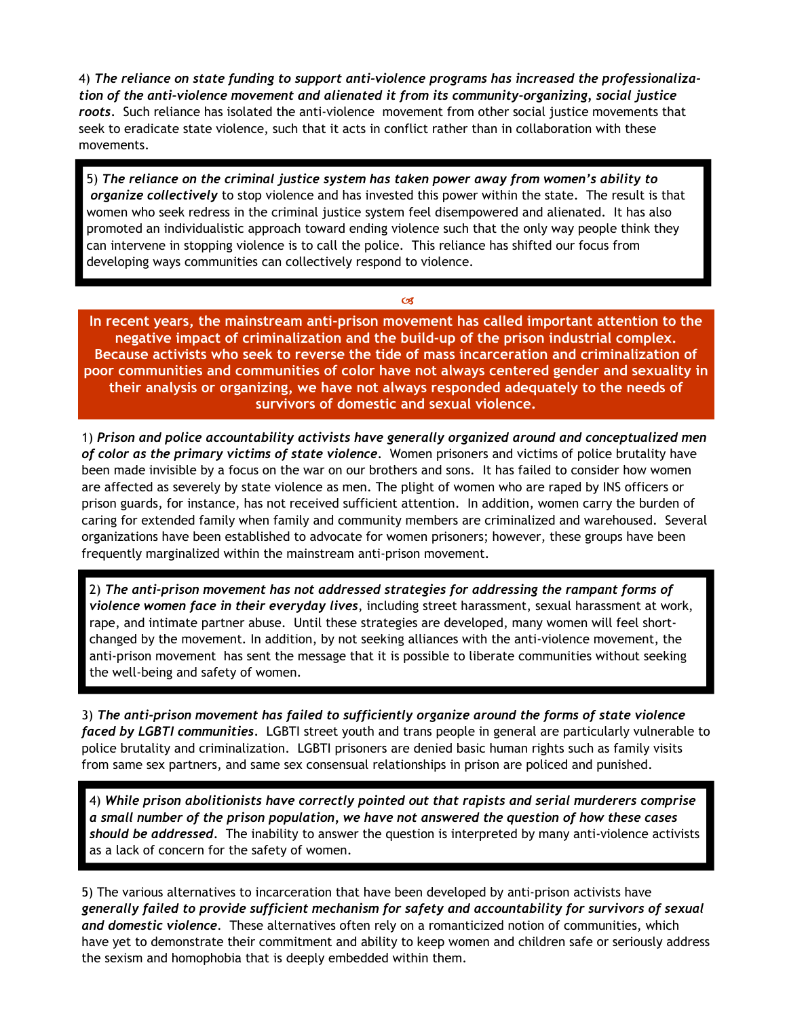4) *The reliance on state funding to support anti-violence programs has increased the professionalization of the anti-violence movement and alienated it from its community-organizing, social justice roots.* Such reliance has isolated the anti-violence movement from other social justice movements that seek to eradicate state violence, such that it acts in conflict rather than in collaboration with these movements.

5) *The reliance on the criminal justice system has taken power away from women's ability to organize collectively* to stop violence and has invested this power within the state. The result is that women who seek redress in the criminal justice system feel disempowered and alienated. It has also promoted an individualistic approach toward ending violence such that the only way people think they can intervene in stopping violence is to call the police. This reliance has shifted our focus from developing ways communities can collectively respond to violence.

**In recent years, the mainstream anti-prison movement has called important attention to the negative impact of criminalization and the build-up of the prison industrial complex. Because activists who seek to reverse the tide of mass incarceration and criminalization of poor communities and communities of color have not always centered gender and sexuality in their analysis or organizing, we have not always responded adequately to the needs of survivors of domestic and sexual violence.** 

**C** 

1) *Prison and police accountability activists have generally organized around and conceptualized men of color as the primary victims of state violence.* Women prisoners and victims of police brutality have been made invisible by a focus on the war on our brothers and sons. It has failed to consider how women are affected as severely by state violence as men. The plight of women who are raped by INS officers or prison guards, for instance, has not received sufficient attention. In addition, women carry the burden of caring for extended family when family and community members are criminalized and warehoused. Several organizations have been established to advocate for women prisoners; however, these groups have been frequently marginalized within the mainstream anti-prison movement.

2) *The anti-prison movement has not addressed strategies for addressing the rampant forms of violence women face in their everyday lives*, including street harassment, sexual harassment at work, rape, and intimate partner abuse. Until these strategies are developed, many women will feel shortchanged by the movement. In addition, by not seeking alliances with the anti-violence movement, the anti-prison movement has sent the message that it is possible to liberate communities without seeking the well-being and safety of women.

3) *The anti-prison movement has failed to sufficiently organize around the forms of state violence faced by LGBTI communities.* LGBTI street youth and trans people in general are particularly vulnerable to police brutality and criminalization. LGBTI prisoners are denied basic human rights such as family visits from same sex partners, and same sex consensual relationships in prison are policed and punished.

4) *While prison abolitionists have correctly pointed out that rapists and serial murderers comprise a small number of the prison population, we have not answered the question of how these cases should be addressed.* The inability to answer the question is interpreted by many anti-violence activists as a lack of concern for the safety of women.

5) The various alternatives to incarceration that have been developed by anti-prison activists have *generally failed to provide sufficient mechanism for safety and accountability for survivors of sexual and domestic violence*. These alternatives often rely on a romanticized notion of communities, which have yet to demonstrate their commitment and ability to keep women and children safe or seriously address the sexism and homophobia that is deeply embedded within them.